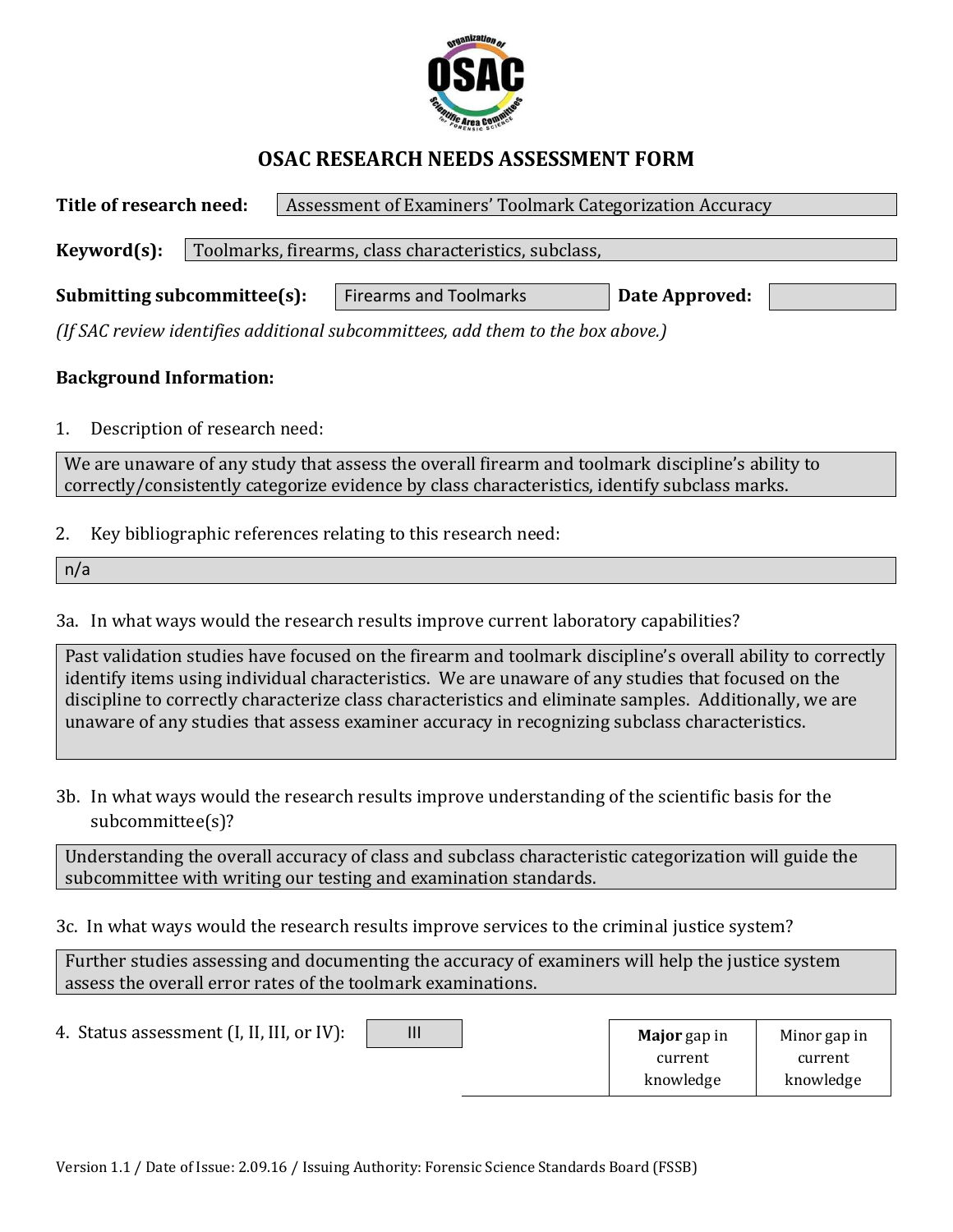

## **OSAC RESEARCH NEEDS ASSESSMENT FORM**

**Title of research need:** Assessment of Examiners' Toolmark Categorization Accuracy Keyword(s): | Toolmarks, firearms, class characteristics, subclass, **Submitting subcommittee(s):** Firearms and Toolmarks **Date Approved:** 

*(If SAC review identifies additional subcommittees, add them to the box above.)*

## **Background Information:**

1. Description of research need:

We are unaware of any study that assess the overall firearm and toolmark discipline's ability to correctly/consistently categorize evidence by class characteristics, identify subclass marks.

2. Key bibliographic references relating to this research need:

n/a

3a. In what ways would the research results improve current laboratory capabilities?

Past validation studies have focused on the firearm and toolmark discipline's overall ability to correctly identify items using individual characteristics. We are unaware of any studies that focused on the discipline to correctly characterize class characteristics and eliminate samples. Additionally, we are unaware of any studies that assess examiner accuracy in recognizing subclass characteristics.

3b. In what ways would the research results improve understanding of the scientific basis for the subcommittee(s)?

Understanding the overall accuracy of class and subclass characteristic categorization will guide the subcommittee with writing our testing and examination standards.

3c. In what ways would the research results improve services to the criminal justice system?

Further studies assessing and documenting the accuracy of examiners will help the justice system assess the overall error rates of the toolmark examinations.

| 4. Status assessment (I, II, III, or IV): | Ш | <b>Major</b> gap in | Minor gap in |
|-------------------------------------------|---|---------------------|--------------|
|                                           |   | current             | current      |
|                                           |   | knowledge           | knowledge    |